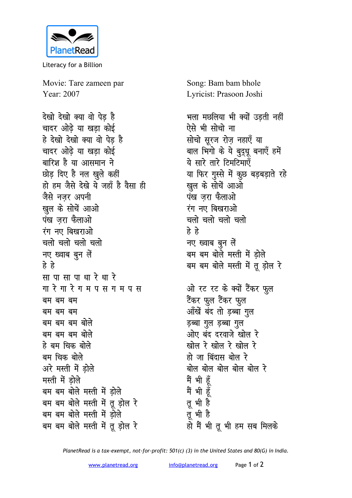

Literacy for a Billion

Movie: Tare zameen par Year: 2007

देखो देखो क्या वो पेड है चादर ओढे या खडा कोई हे देखो देखो क्या वो पेड है चादर ओढ़े या खड़ा कोई बारिश है या आसमान ने छोड़ दिए है नल खुले कहीं हो हम जैसे देखे ये जहाँ है वैसा ही जैसे नजर अपनी खुल के सोचें आओ पंख जरा फैलाओ रंग नए बिखराओ चलो चलो चलो चलो नए ख्वाब बून लें हे हे सापासापाधारे धारे गा रे गा रे ग म प स ग म प स बम बम बम बम बम बम बम बम बम बोले बम बम बम बोले हे बम चिक बोले बम चिक बोले अरे मस्ती में डोले मस्ती में डोले बम बम बोले मस्ती में डोले बम बम बोले मस्ती में तू ड़ोल रे बम बम बोले मस्ती में ड़ोले बम बम बोले मस्ती में तू ड़ोल रे

Song: Bam bam bhole Lyricist: Prasoon Joshi

भला मछलिया भी क्यों उड़ती नहीं ऐसे भी सोचो ना सोचो सुरज रोज नहाएँ या बाल भिगो के ये बुद्धू बनाएँ हमें ये सारे तारे टिमटिमाएँ या फिर गुस्से में कुछ बड़बड़ाते रहे खुल के सोचें आओ पंख जरा फैलाओ रंग नए बिखराओ चलो चलो चलो चलो हे हे नए ख्वाब बुन लें बम बम बोले मस्ती में ड़ोले बम बम बोले मस्ती में तू ड़ोल रे ओ रट रट के क्यों टैंकर फुल टैंकर फुल टैंकर फुल आँखें बंद तो ड़ब्बा गुल ड़ब्बा गुल ड़ब्बा गुल ओए बंद दरवाजे खोल रे खोल रे खोल रे खोल रे हो जा बिंदास बोल रे बोल बोल बोल बोल बोल र<mark>े</mark> मैं भी हूँ मैं भी हूँ तू भी है तू भी है हो मैं भी तू भी हम सब मिलके

PlanetRead is a tax-exempt, not-for-profit: 501(c) (3) in the United States and 80(G) in India.